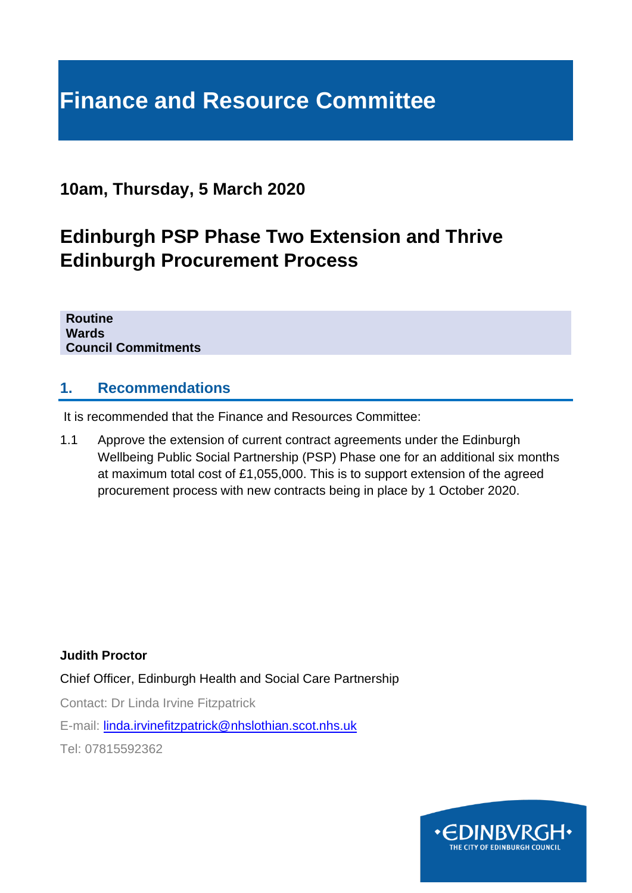# **Finance and Resource Committee**

## **10am, Thursday, 5 March 2020**

## **Edinburgh PSP Phase Two Extension and Thrive Edinburgh Procurement Process**

**Routine Wards Council Commitments**

#### **1. Recommendations**

It is recommended that the Finance and Resources Committee:

1.1 Approve the extension of current contract agreements under the Edinburgh Wellbeing Public Social Partnership (PSP) Phase one for an additional six months at maximum total cost of £1,055,000. This is to support extension of the agreed procurement process with new contracts being in place by 1 October 2020.

**Judith Proctor** 

Chief Officer, Edinburgh Health and Social Care Partnership

Contact: Dr Linda Irvine Fitzpatrick

E-mail: [linda.irvinefitzpatrick@nhslothian.scot.nhs.uk](mailto:linda.irvinefitzpatrick@nhslothian.scot.nhs.uk)

Tel: 07815592362

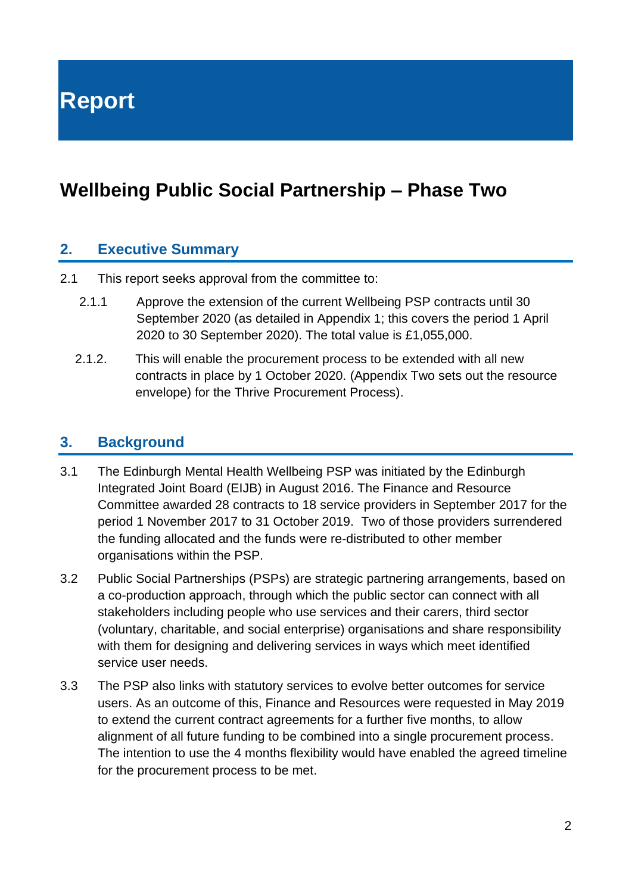**Report**

## **Wellbeing Public Social Partnership – Phase Two**

#### **2. Executive Summary**

- 2.1 This report seeks approval from the committee to:
	- 2.1.1 Approve the extension of the current Wellbeing PSP contracts until 30 September 2020 (as detailed in Appendix 1; this covers the period 1 April 2020 to 30 September 2020). The total value is £1,055,000.
	- 2.1.2. This will enable the procurement process to be extended with all new contracts in place by 1 October 2020. (Appendix Two sets out the resource envelope) for the Thrive Procurement Process).

#### **3. Background**

- 3.1 The Edinburgh Mental Health Wellbeing PSP was initiated by the Edinburgh Integrated Joint Board (EIJB) in August 2016. The Finance and Resource Committee awarded 28 contracts to 18 service providers in September 2017 for the period 1 November 2017 to 31 October 2019. Two of those providers surrendered the funding allocated and the funds were re-distributed to other member organisations within the PSP.
- 3.2 Public Social Partnerships (PSPs) are strategic partnering arrangements, based on a co-production approach, through which the public sector can connect with all stakeholders including people who use services and their carers, third sector (voluntary, charitable, and social enterprise) organisations and share responsibility with them for designing and delivering services in ways which meet identified service user needs.
- 3.3 The PSP also links with statutory services to evolve better outcomes for service users. As an outcome of this, Finance and Resources were requested in May 2019 to extend the current contract agreements for a further five months, to allow alignment of all future funding to be combined into a single procurement process. The intention to use the 4 months flexibility would have enabled the agreed timeline for the procurement process to be met.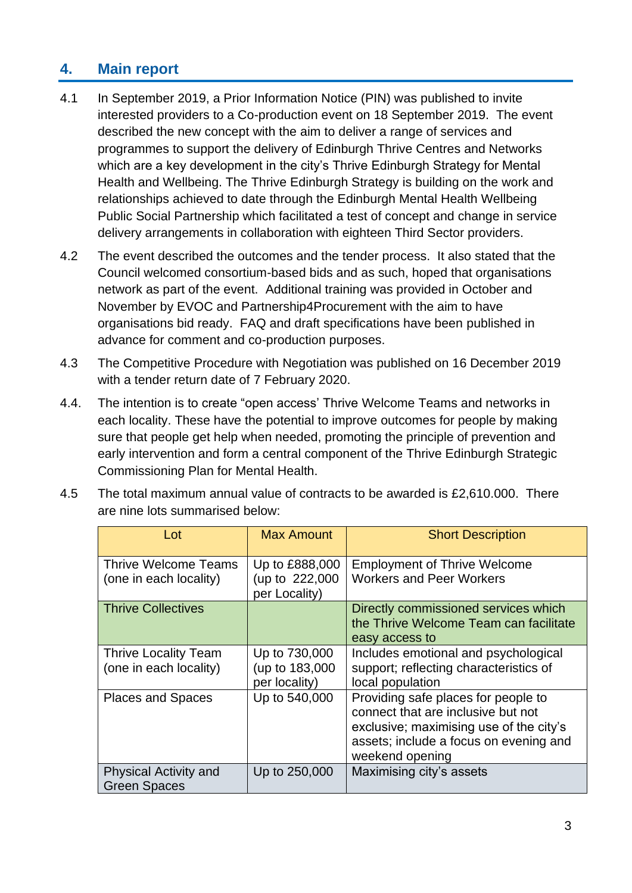### **4. Main report**

- 4.1 In September 2019, a Prior Information Notice (PIN) was published to invite interested providers to a Co-production event on 18 September 2019. The event described the new concept with the aim to deliver a range of services and programmes to support the delivery of Edinburgh Thrive Centres and Networks which are a key development in the city's Thrive Edinburgh Strategy for Mental Health and Wellbeing. The Thrive Edinburgh Strategy is building on the work and relationships achieved to date through the Edinburgh Mental Health Wellbeing Public Social Partnership which facilitated a test of concept and change in service delivery arrangements in collaboration with eighteen Third Sector providers.
- 4.2 The event described the outcomes and the tender process. It also stated that the Council welcomed consortium-based bids and as such, hoped that organisations network as part of the event. Additional training was provided in October and November by EVOC and Partnership4Procurement with the aim to have organisations bid ready. FAQ and draft specifications have been published in advance for comment and co-production purposes.
- 4.3 The Competitive Procedure with Negotiation was published on 16 December 2019 with a tender return date of 7 February 2020.
- 4.4. The intention is to create "open access' Thrive Welcome Teams and networks in each locality. These have the potential to improve outcomes for people by making sure that people get help when needed, promoting the principle of prevention and early intervention and form a central component of the Thrive Edinburgh Strategic Commissioning Plan for Mental Health.
- 4.5 The total maximum annual value of contracts to be awarded is £2,610.000. There are nine lots summarised below:

| Lot                                                   | <b>Max Amount</b>                                 | <b>Short Description</b>                                                                                                                                                          |
|-------------------------------------------------------|---------------------------------------------------|-----------------------------------------------------------------------------------------------------------------------------------------------------------------------------------|
| <b>Thrive Welcome Teams</b><br>(one in each locality) | Up to £888,000<br>(up to 222,000<br>per Locality) | <b>Employment of Thrive Welcome</b><br><b>Workers and Peer Workers</b>                                                                                                            |
| <b>Thrive Collectives</b>                             |                                                   | Directly commissioned services which<br>the Thrive Welcome Team can facilitate<br>easy access to                                                                                  |
| <b>Thrive Locality Team</b><br>(one in each locality) | Up to 730,000<br>(up to 183,000<br>per locality)  | Includes emotional and psychological<br>support; reflecting characteristics of<br>local population                                                                                |
| <b>Places and Spaces</b>                              | Up to 540,000                                     | Providing safe places for people to<br>connect that are inclusive but not<br>exclusive; maximising use of the city's<br>assets; include a focus on evening and<br>weekend opening |
| <b>Physical Activity and</b><br><b>Green Spaces</b>   | Up to 250,000                                     | Maximising city's assets                                                                                                                                                          |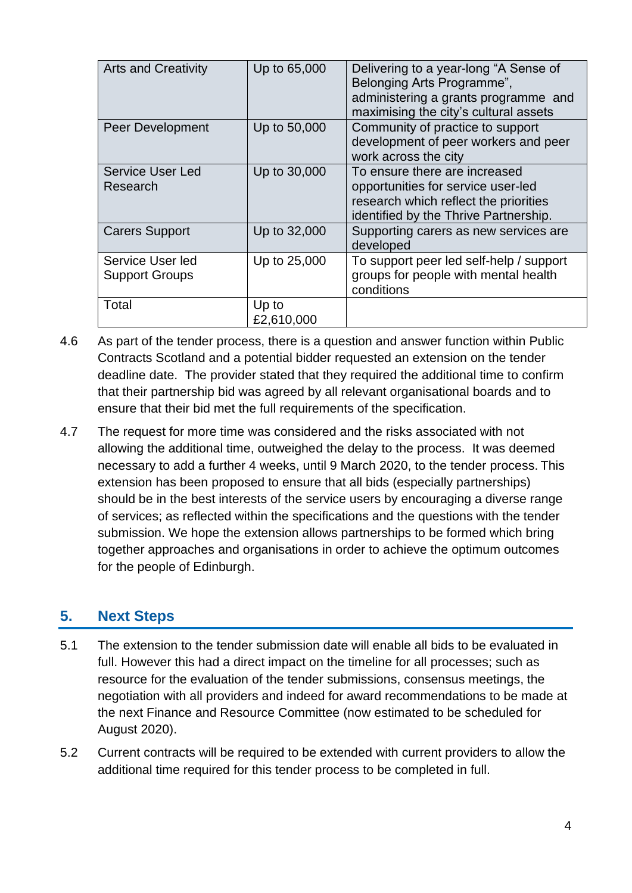| <b>Arts and Creativity</b>                | Up to 65,000        | Delivering to a year-long "A Sense of<br>Belonging Arts Programme",<br>administering a grants programme and<br>maximising the city's cultural assets  |
|-------------------------------------------|---------------------|-------------------------------------------------------------------------------------------------------------------------------------------------------|
| Peer Development                          | Up to 50,000        | Community of practice to support<br>development of peer workers and peer<br>work across the city                                                      |
| <b>Service User Led</b><br>Research       | Up to 30,000        | To ensure there are increased<br>opportunities for service user-led<br>research which reflect the priorities<br>identified by the Thrive Partnership. |
| <b>Carers Support</b>                     | Up to 32,000        | Supporting carers as new services are<br>developed                                                                                                    |
| Service User led<br><b>Support Groups</b> | Up to 25,000        | To support peer led self-help / support<br>groups for people with mental health<br>conditions                                                         |
| Total                                     | Up to<br>£2,610,000 |                                                                                                                                                       |

- 4.6 As part of the tender process, there is a question and answer function within Public Contracts Scotland and a potential bidder requested an extension on the tender deadline date. The provider stated that they required the additional time to confirm that their partnership bid was agreed by all relevant organisational boards and to ensure that their bid met the full requirements of the specification.
- 4.7 The request for more time was considered and the risks associated with not allowing the additional time, outweighed the delay to the process. It was deemed necessary to add a further 4 weeks, until 9 March 2020, to the tender process. This extension has been proposed to ensure that all bids (especially partnerships) should be in the best interests of the service users by encouraging a diverse range of services; as reflected within the specifications and the questions with the tender submission. We hope the extension allows partnerships to be formed which bring together approaches and organisations in order to achieve the optimum outcomes for the people of Edinburgh.

#### **5. Next Steps**

- 5.1 The extension to the tender submission date will enable all bids to be evaluated in full. However this had a direct impact on the timeline for all processes; such as resource for the evaluation of the tender submissions, consensus meetings, the negotiation with all providers and indeed for award recommendations to be made at the next Finance and Resource Committee (now estimated to be scheduled for August 2020).
- 5.2 Current contracts will be required to be extended with current providers to allow the additional time required for this tender process to be completed in full.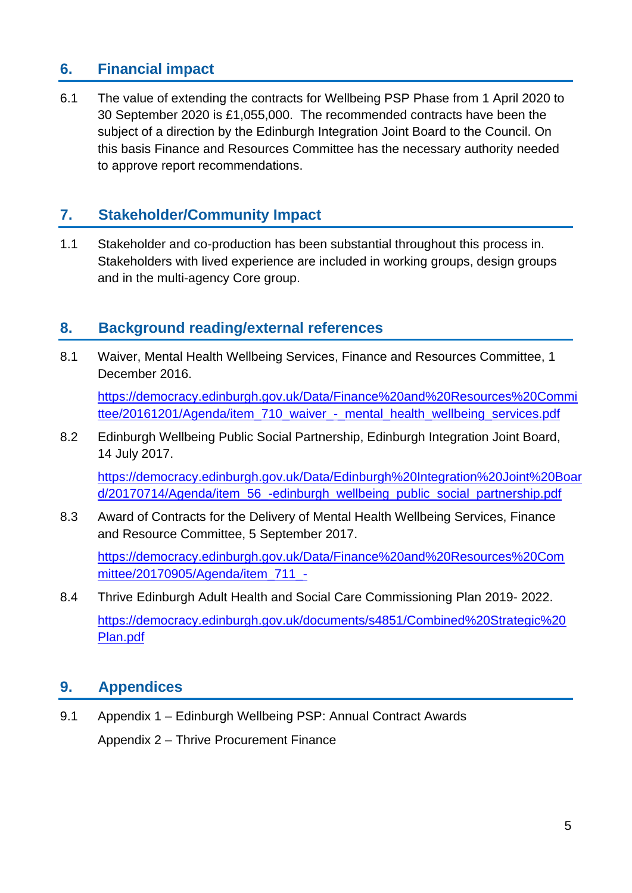#### **6. Financial impact**

6.1 The value of extending the contracts for Wellbeing PSP Phase from 1 April 2020 to 30 September 2020 is £1,055,000. The recommended contracts have been the subject of a direction by the Edinburgh Integration Joint Board to the Council. On this basis Finance and Resources Committee has the necessary authority needed to approve report recommendations.

#### **7. Stakeholder/Community Impact**

1.1 Stakeholder and co-production has been substantial throughout this process in. Stakeholders with lived experience are included in working groups, design groups and in the multi-agency Core group.

#### **8. Background reading/external references**

8.1 Waiver, Mental Health Wellbeing Services, Finance and Resources Committee, 1 December 2016.

[https://democracy.edinburgh.gov.uk/Data/Finance%20and%20Resources%20Commi](https://democracy.edinburgh.gov.uk/Data/Finance%20and%20Resources%20Committee/20161201/Agenda/item_710_waiver_-_mental_health_wellbeing_services.pdf) [ttee/20161201/Agenda/item\\_710\\_waiver\\_-\\_mental\\_health\\_wellbeing\\_services.pdf](https://democracy.edinburgh.gov.uk/Data/Finance%20and%20Resources%20Committee/20161201/Agenda/item_710_waiver_-_mental_health_wellbeing_services.pdf)

8.2 Edinburgh Wellbeing Public Social Partnership, Edinburgh Integration Joint Board, 14 July 2017.

[https://democracy.edinburgh.gov.uk/Data/Edinburgh%20Integration%20Joint%20Boar](https://democracy.edinburgh.gov.uk/Data/Edinburgh%20Integration%20Joint%20Board/20170714/Agenda/item_56_-edinburgh_wellbeing_public_social_partnership.pdf) [d/20170714/Agenda/item\\_56\\_-edinburgh\\_wellbeing\\_public\\_social\\_partnership.pdf](https://democracy.edinburgh.gov.uk/Data/Edinburgh%20Integration%20Joint%20Board/20170714/Agenda/item_56_-edinburgh_wellbeing_public_social_partnership.pdf)

8.3 Award of Contracts for the Delivery of Mental Health Wellbeing Services, Finance and Resource Committee, 5 September 2017.

[https://democracy.edinburgh.gov.uk/Data/Finance%20and%20Resources%20Com](https://democracy.edinburgh.gov.uk/Data/Finance%20and%20Resources%20Committee/20170905/Agenda/item_711_-) [mittee/20170905/Agenda/item\\_711\\_-](https://democracy.edinburgh.gov.uk/Data/Finance%20and%20Resources%20Committee/20170905/Agenda/item_711_-)

8.4 Thrive Edinburgh Adult Health and Social Care Commissioning Plan 2019- 2022. [https://democracy.edinburgh.gov.uk/documents/s4851/Combined%20Strategic%20](https://democracy.edinburgh.gov.uk/documents/s4851/Combined%20Strategic%20Plan.pdf) [Plan.pdf](https://democracy.edinburgh.gov.uk/documents/s4851/Combined%20Strategic%20Plan.pdf)

## **9. Appendices**

9.1 Appendix 1 – Edinburgh Wellbeing PSP: Annual Contract Awards Appendix 2 – Thrive Procurement Finance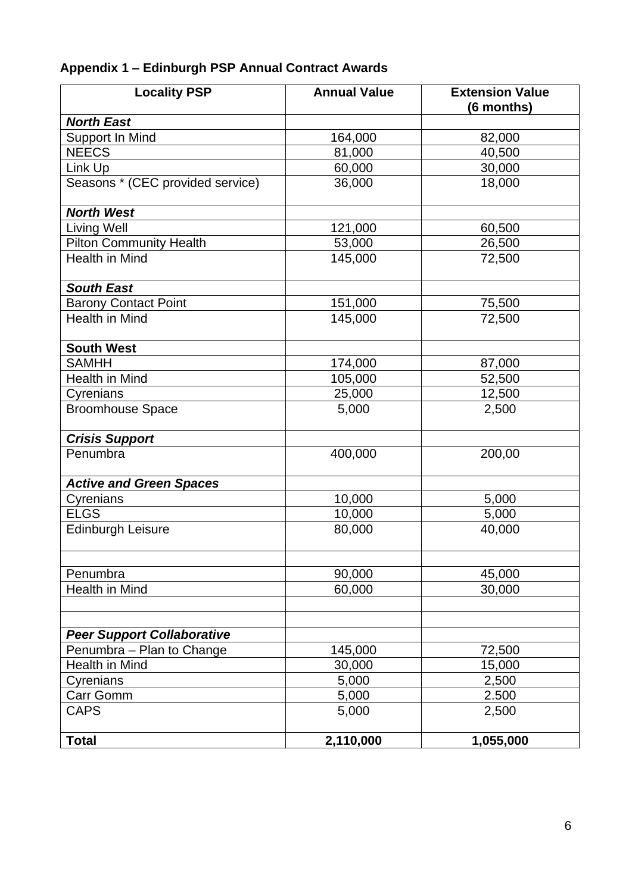## **Appendix 1 – Edinburgh PSP Annual Contract Awards**

| <b>Locality PSP</b>               | <b>Annual Value</b> | <b>Extension Value</b><br>(6 months) |
|-----------------------------------|---------------------|--------------------------------------|
| <b>North East</b>                 |                     |                                      |
| Support In Mind                   | 164,000             | 82,000                               |
| <b>NEECS</b>                      | 81,000              | 40,500                               |
| Link Up                           | 60,000              | 30,000                               |
| Seasons * (CEC provided service)  | 36,000              | 18,000                               |
| <b>North West</b>                 |                     |                                      |
| <b>Living Well</b>                | 121,000             | 60,500                               |
| <b>Pilton Community Health</b>    | 53,000              | 26,500                               |
| <b>Health in Mind</b>             | 145,000             | 72,500                               |
| <b>South East</b>                 |                     |                                      |
| <b>Barony Contact Point</b>       | 151,000             | 75,500                               |
| <b>Health in Mind</b>             | 145,000             | 72,500                               |
| <b>South West</b>                 |                     |                                      |
| <b>SAMHH</b>                      | 174,000             | 87,000                               |
| Health in Mind                    | 105,000             | 52,500                               |
| Cyrenians                         | 25,000              | 12,500                               |
| <b>Broomhouse Space</b>           | 5,000               | 2,500                                |
| <b>Crisis Support</b>             |                     |                                      |
| Penumbra                          | 400,000             | 200,00                               |
| <b>Active and Green Spaces</b>    |                     |                                      |
| Cyrenians                         | 10,000              | 5,000                                |
| <b>ELGS</b>                       | 10,000              | 5,000                                |
| <b>Edinburgh Leisure</b>          | 80,000              | 40,000                               |
| Penumbra                          | 90,000              | 45,000                               |
| Health in Mind                    | 60,000              | 30,000                               |
| <b>Peer Support Collaborative</b> |                     |                                      |
| Penumbra - Plan to Change         | 145,000             | 72,500                               |
| Health in Mind                    | 30,000              | 15,000                               |
| Cyrenians                         | 5,000               | 2,500                                |
| Carr Gomm                         | 5,000               | 2.500                                |
| <b>CAPS</b>                       | 5,000               | 2,500                                |
| <b>Total</b>                      | 2,110,000           | 1,055,000                            |